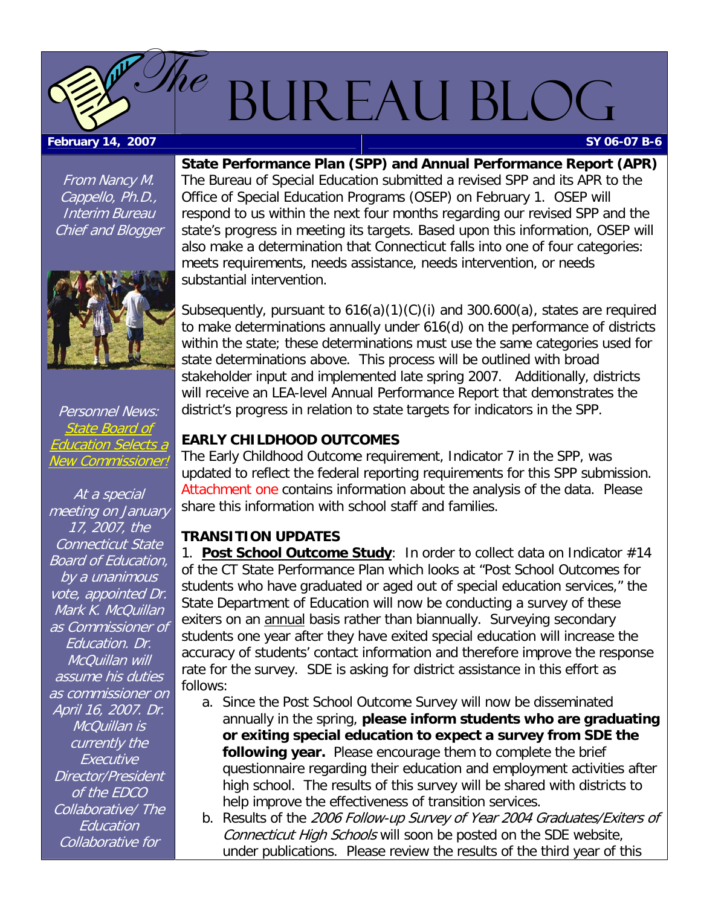## BUREAU BLOG

#### <span id="page-0-0"></span>**February 14, 2007 SY 06-07 B-6**

 ${\it \&}e$ 

From Nancy M. Cappello, Ph.D., Interim Bureau Chief and Blogger



Personnel News: State Board of Education Sele New Commissioner!

At a special meeting on January 17, 2007, the Connecticut State Board of Education, by a unanimous vote, appointed Dr. Mark K. McQuillan as Commissioner of Education. Dr. McQuillan will assume his duties as commissioner on April 16, 2007. Dr. McQuillan is currently the **Executive** Director/President of the EDCO Collaborative/ The **Education** Collaborative for

**State Performance Plan (SPP) and Annual Performance Report (APR)**  The Bureau of Special Education submitted a revised SPP and its APR to the Office of Special Education Programs (OSEP) on February 1. OSEP will respond to us within the next four months regarding our revised SPP and the state's progress in meeting its targets. Based upon this information, OSEP will also make a determination that Connecticut falls into one of four categories: meets requirements, needs assistance, needs intervention, or needs substantial intervention.

Subsequently, pursuant to 616(a)(1)(C)(i) and 300.600(a), states are required to make determinations annually under 616(d) on the performance of districts within the state; these determinations must use the same categories used for state determinations above. This process will be outlined with broad stakeholder input and implemented late spring 2007. Additionally, districts will receive an LEA-level Annual Performance Report that demonstrates the district's progress in relation to state targets for indicators in the SPP.

### **EARLY CHILDHOOD OUTCOMES**

The Early Childhood Outcome requirement, Indicator 7 in the SPP, was updated to reflect the federal reporting requirements for this SPP submission. [Attachment one](#page-4-0) contains information about the analysis of the data. Please share this information with school staff and families.

### **TRANSITION UPDATES**

1. **Post School Outcome Study**: In order to collect data on Indicator #14 of the CT State Performance Plan which looks at "Post School Outcomes for students who have graduated or aged out of special education services," the State Department of Education will now be conducting a survey of these exiters on an **annual** basis rather than biannually. Surveying secondary students one year after they have exited special education will increase the accuracy of students' contact information and therefore improve the response rate for the survey. SDE is asking for district assistance in this effort as follows:

- a. Since the Post School Outcome Survey will now be disseminated annually in the spring, **please inform students who are graduating or exiting special education to expect a survey from SDE the following year.** Please encourage them to complete the brief questionnaire regarding their education and employment activities after high school. The results of this survey will be shared with districts to help improve the effectiveness of transition services.
- b. Results of the 2006 Follow-up Survey of Year 2004 Graduates/Exiters of Connecticut High Schools will soon be posted on the SDE website, under publications. Please review the results of the third year of this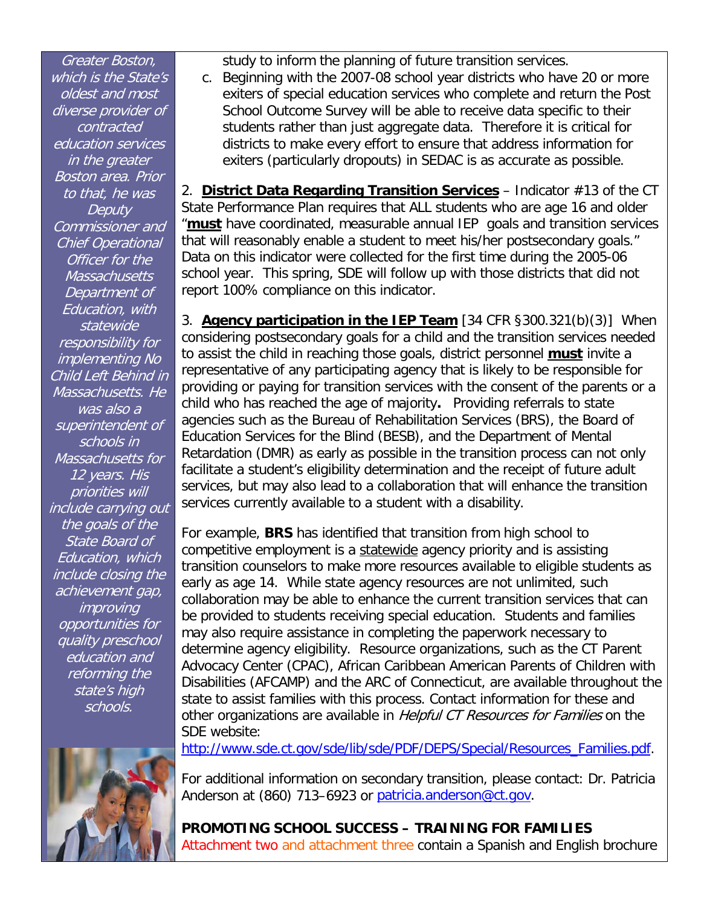<span id="page-1-0"></span>Greater Boston, which is the State's oldest and most diverse provider of contracted education services in the greater Boston area. Prior to that, he was **Deputy** Commissioner and Chief Operational Officer for the **Massachusetts** Department of Education, with statewide responsibility for implementing No Child Left Behind in Massachusetts. He was also a superintendent of schools in Massachusetts for 12 years. His priorities will include carrying out the goals of the State Board of Education, which include closing the achievement gap, improving opportunities for quality preschool education and reforming the state's high schools.



study to inform the planning of future transition services.

c. Beginning with the 2007-08 school year districts who have 20 or more exiters of special education services who complete and return the Post School Outcome Survey will be able to receive data specific to their students rather than just aggregate data. Therefore it is critical for districts to make every effort to ensure that address information for exiters (particularly dropouts) in SEDAC is as accurate as possible.

2. **District Data Regarding Transition Services** – Indicator #13 of the CT State Performance Plan requires that ALL students who are age 16 and older "**must** have coordinated, measurable annual IEP goals and transition services that will reasonably enable a student to meet his/her postsecondary goals." Data on this indicator were collected for the first time during the 2005-06 school year. This spring, SDE will follow up with those districts that did not report 100% compliance on this indicator.

3. **Agency participation in the IEP Team** [34 CFR §300.321(b)(3)] When considering postsecondary goals for a child and the transition services needed to assist the child in reaching those goals, district personnel **must** invite a representative of any participating agency that is likely to be responsible for providing or paying for transition services with the consent of the parents or a child who has reached the age of majority**.** Providing referrals to state agencies such as the Bureau of Rehabilitation Services (BRS), the Board of Education Services for the Blind (BESB), and the Department of Mental Retardation (DMR) as early as possible in the transition process can not only facilitate a student's eligibility determination and the receipt of future adult services, but may also lead to a collaboration that will enhance the transition services currently available to a student with a disability.

For example, **BRS** has identified that transition from high school to competitive employment is a statewide agency priority and is assisting transition counselors to make more resources available to eligible students as early as age 14. While state agency resources are not unlimited, such collaboration may be able to enhance the current transition services that can be provided to students receiving special education. Students and families may also require assistance in completing the paperwork necessary to determine agency eligibility. Resource organizations, such as the CT Parent Advocacy Center (CPAC), African Caribbean American Parents of Children with Disabilities (AFCAMP) and the ARC of Connecticut, are available throughout the state to assist families with this process. Contact information for these and other organizations are available in *Helpful CT Resources for Families* on the SDE website:

[http://www.sde.ct.gov/sde/lib/sde/PDF/DEPS/Special/Resources\\_Families.pdf](http://www.sde.ct.gov/sde/lib/sde/PDF/DEPS/Special/Resources_Families.pdf).

For additional information on secondary transition, please contact: Dr. Patricia Anderson at (860) 713–6923 or [patricia.anderson@ct.gov.](mailto:patricia.anderson@ct.gov)

**PROMOTING SCHOOL SUCCESS – TRAINING FOR FAMILIES**  [Attachment two](#page-6-0) and [attachment three c](#page-8-0)ontain a Spanish and English brochure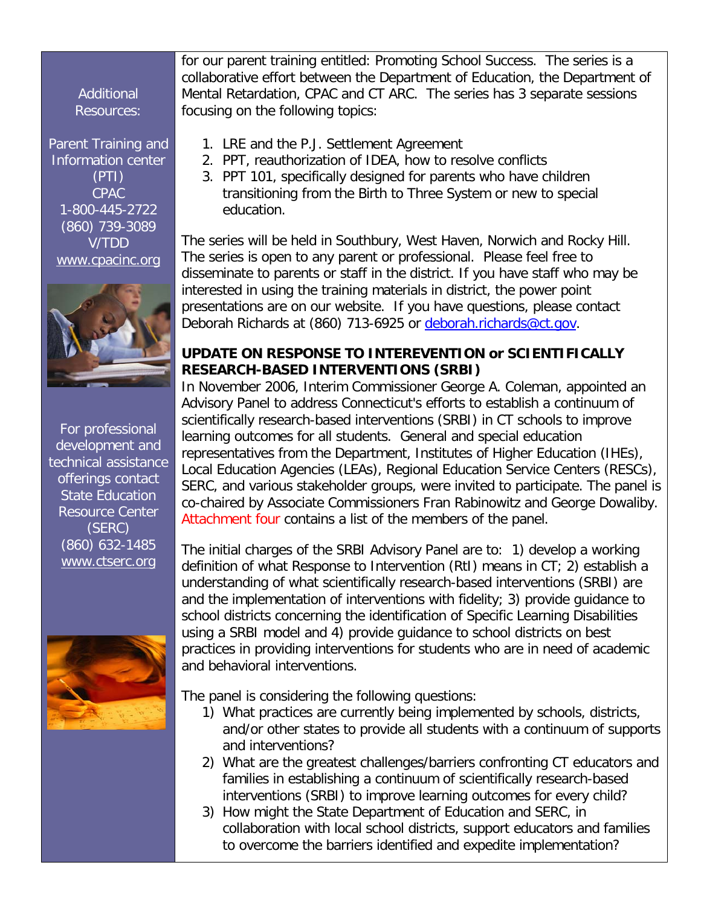<span id="page-2-0"></span>Additional Resources:

Parent Training and Information center (PTI) CPAC 1-800-445-2722 (860) 739-3089 V/TDD [www.cpacinc.org](http://www.cpacinc.org/)



For professional development and technical assistance offerings contact State Education Resource Center (SERC) (860) 632-1485 [www.ctserc.org](http://www.ctserc.org/)



for our parent training entitled: Promoting School Success. The series is a collaborative effort between the Department of Education, the Department of Mental Retardation, CPAC and CT ARC. The series has 3 separate sessions focusing on the following topics:

- 1. LRE and the P.J. Settlement Agreement
	- 2. PPT, reauthorization of IDEA, how to resolve conflicts
- 3. PPT 101, specifically designed for parents who have children transitioning from the Birth to Three System or new to special education.

The series will be held in Southbury, West Haven, Norwich and Rocky Hill. The series is open to any parent or professional. Please feel free to disseminate to parents or staff in the district. If you have staff who may be interested in using the training materials in district, the power point presentations are on our website. If you have questions, please contact Deborah Richards at (860) 713-6925 or [deborah.richards@ct.gov](mailto:deborah.richards@ct.gov).

### **UPDATE ON RESPONSE TO INTEREVENTION or SCIENTIFICALLY RESEARCH-BASED INTERVENTIONS (SRBI)**

In November 2006, Interim Commissioner George A. Coleman, appointed an Advisory Panel to address Connecticut's efforts to establish a continuum of scientifically research-based interventions (SRBI) in CT schools to improve learning outcomes for all students. General and special education representatives from the Department, Institutes of Higher Education (IHEs), Local Education Agencies (LEAs), Regional Education Service Centers (RESCs), SERC, and various stakeholder groups, were invited to participate. The panel is co-chaired by Associate Commissioners Fran Rabinowitz and George Dowaliby. [Attachment four](#page-10-0) contains a list of the members of the panel.

The initial charges of the SRBI Advisory Panel are to: 1) develop a working definition of what Response to Intervention (RtI) means in CT; 2) establish a understanding of what scientifically research-based interventions (SRBI) are and the implementation of interventions with fidelity; 3) provide guidance to school districts concerning the identification of Specific Learning Disabilities using a SRBI model and 4) provide guidance to school districts on best practices in providing interventions for students who are in need of academic and behavioral interventions.

The panel is considering the following questions:

- 1) What practices are currently being implemented by schools, districts, and/or other states to provide all students with a continuum of supports and interventions?
- 2) What are the greatest challenges/barriers confronting CT educators and families in establishing a continuum of scientifically research-based interventions (SRBI) to improve learning outcomes for every child?
- 3) How might the State Department of Education and SERC, in collaboration with local school districts, support educators and families to overcome the barriers identified and expedite implementation?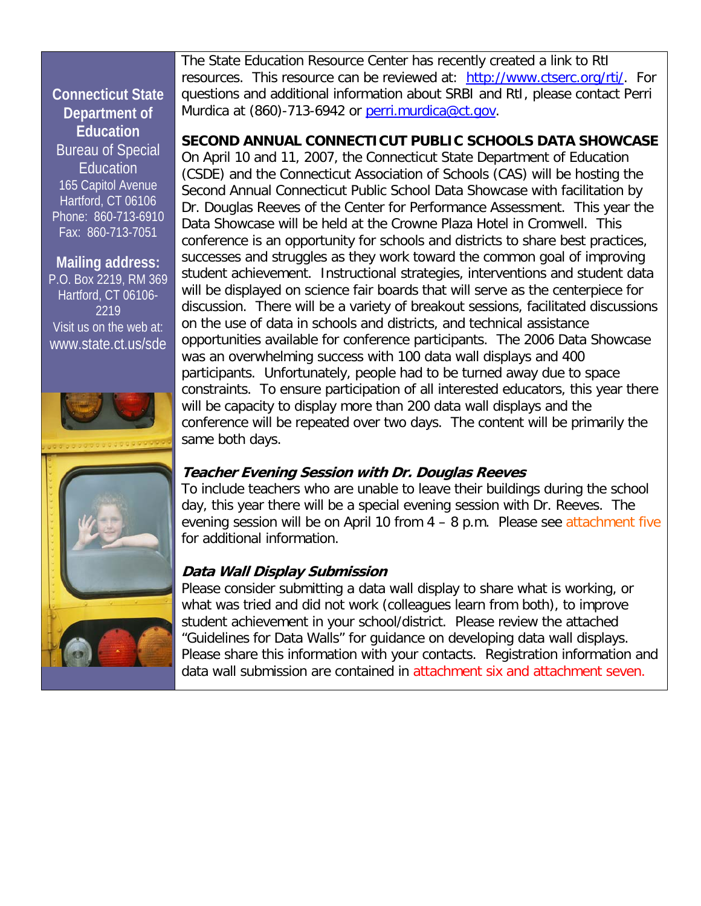### <span id="page-3-0"></span>**Connecticut State Department of Education**  Bureau of Special Education 165 Capitol Avenue Hartford, CT 06106 Phone: 860-713-6910 Fax: 860-713-7051

**Mailing address:**  P.O. Box 2219, RM 369 Hartford, CT 06106- 2219 Visit us on the web at: [www.state.ct.us/sde](http://www.state.ct.us/sde) 







The State Education Resource Center has recently created a link to RtI resources. This resource can be reviewed at: [http://www.ctserc.org/rti/.](http://www.ctserc.org/rti/) For questions and additional information about SRBI and RtI, please contact Perri Murdica at (860)-713-6942 or [perri.murdica@ct.gov.](mailto:perri.murdica@ct.gov)

**SECOND ANNUAL CONNECTICUT PUBLIC SCHOOLS DATA SHOWCASE** 

On April 10 and 11, 2007, the Connecticut State Department of Education (CSDE) and the Connecticut Association of Schools (CAS) will be hosting the Second Annual Connecticut Public School Data Showcase with facilitation by Dr. Douglas Reeves of the Center for Performance Assessment. This year the Data Showcase will be held at the Crowne Plaza Hotel in Cromwell. This conference is an opportunity for schools and districts to share best practices, successes and struggles as they work toward the common goal of improving student achievement. Instructional strategies, interventions and student data will be displayed on science fair boards that will serve as the centerpiece for discussion. There will be a variety of breakout sessions, facilitated discussions on the use of data in schools and districts, and technical assistance opportunities available for conference participants. The 2006 Data Showcase was an overwhelming success with 100 data wall displays and 400 participants. Unfortunately, people had to be turned away due to space constraints. To ensure participation of all interested educators, this year there will be capacity to display more than 200 data wall displays and the conference will be repeated over two days. The content will be primarily the same both days.

### **Teacher Evening Session with Dr. Douglas Reeves**

To include teachers who are unable to leave their buildings during the school day, this year there will be a special evening session with Dr. Reeves. The evening session will be on April 10 from  $4 - 8$  p.m. Please se[e attachment five](#page-11-0) for additional information.

### **Data Wall Display Submission**

Please consider submitting a data wall display to share what is working, or what was tried and did not work (colleagues learn from both), to improve student achievement in your school/district. Please review the attached "Guidelines for Data Walls" for guidance on developing data wall displays. Please share this information with your contacts. Registration information and data wall submission are contained in [attachment six](#page-12-0) and [attachment seven.](#page-14-0)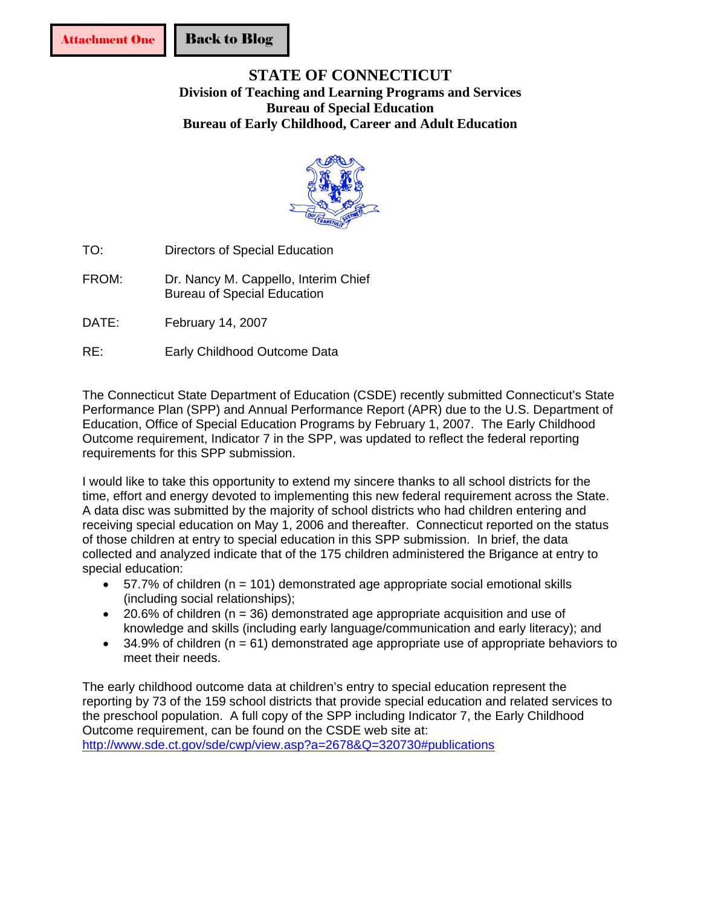### <span id="page-4-0"></span>**STATE OF CONNECTICUT Division of Teaching and Learning Programs and Services Bureau of Special Education Bureau of Early Childhood, Career and Adult Education**



- TO: Directors of Special Education
- FROM: Dr. Nancy M. Cappello, Interim Chief Bureau of Special Education
- DATE: February 14, 2007
- RE: Early Childhood Outcome Data

The Connecticut State Department of Education (CSDE) recently submitted Connecticut's State Performance Plan (SPP) and Annual Performance Report (APR) due to the U.S. Department of Education, Office of Special Education Programs by February 1, 2007. The Early Childhood Outcome requirement, Indicator 7 in the SPP, was updated to reflect the federal reporting requirements for this SPP submission.

I would like to take this opportunity to extend my sincere thanks to all school districts for the time, effort and energy devoted to implementing this new federal requirement across the State. A data disc was submitted by the majority of school districts who had children entering and receiving special education on May 1, 2006 and thereafter. Connecticut reported on the status of those children at entry to special education in this SPP submission. In brief, the data collected and analyzed indicate that of the 175 children administered the Brigance at entry to special education:

- 57.7% of children (n = 101) demonstrated age appropriate social emotional skills (including social relationships);
- 20.6% of children (n = 36) demonstrated age appropriate acquisition and use of knowledge and skills (including early language/communication and early literacy); and
- 34.9% of children ( $n = 61$ ) demonstrated age appropriate use of appropriate behaviors to meet their needs.

The early childhood outcome data at children's entry to special education represent the reporting by 73 of the 159 school districts that provide special education and related services to the preschool population. A full copy of the SPP including Indicator 7, the Early Childhood Outcome requirement, can be found on the CSDE web site at: <http://www.sde.ct.gov/sde/cwp/view.asp?a=2678&Q=320730#publications>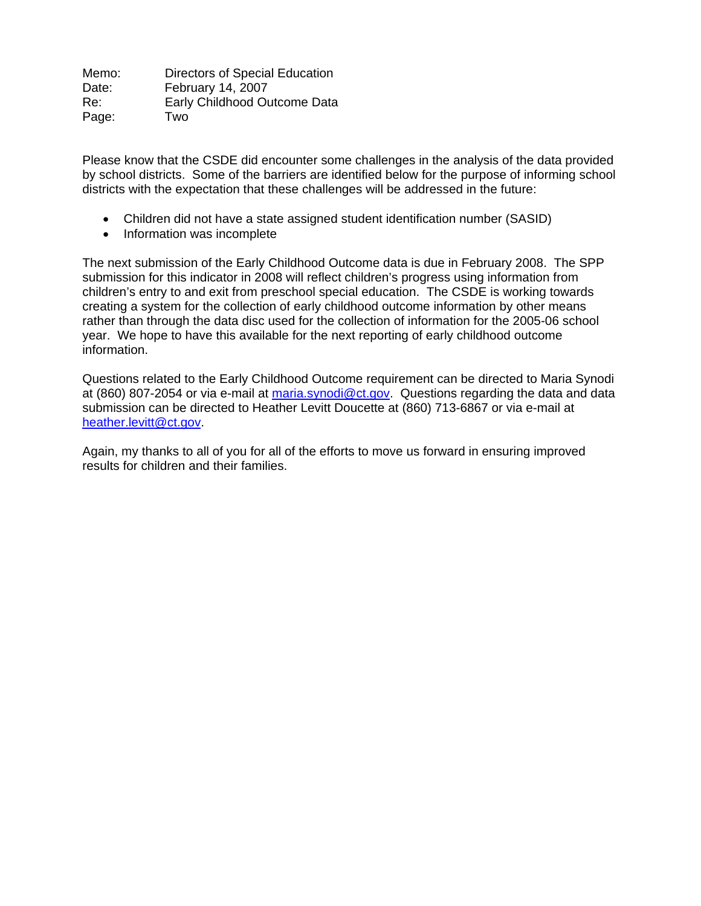Memo: Directors of Special Education Date: February 14, 2007 Re: Early Childhood Outcome Data Page: Two

Please know that the CSDE did encounter some challenges in the analysis of the data provided by school districts. Some of the barriers are identified below for the purpose of informing school districts with the expectation that these challenges will be addressed in the future:

- Children did not have a state assigned student identification number (SASID)
- Information was incomplete

The next submission of the Early Childhood Outcome data is due in February 2008. The SPP submission for this indicator in 2008 will reflect children's progress using information from children's entry to and exit from preschool special education. The CSDE is working towards creating a system for the collection of early childhood outcome information by other means rather than through the data disc used for the collection of information for the 2005-06 school year. We hope to have this available for the next reporting of early childhood outcome information.

Questions related to the Early Childhood Outcome requirement can be directed to Maria Synodi at (860) 807-2054 or via e-mail at [maria.synodi@ct.gov.](mailto:maria.synodi@ct.gov) Questions regarding the data and data submission can be directed to Heather Levitt Doucette at (860) 713-6867 or via e-mail at [heather.levitt@ct.gov.](mailto:heather.levitt@ct.gov)

Again, my thanks to all of you for all of the efforts to move us forward in ensuring improved results for children and their families.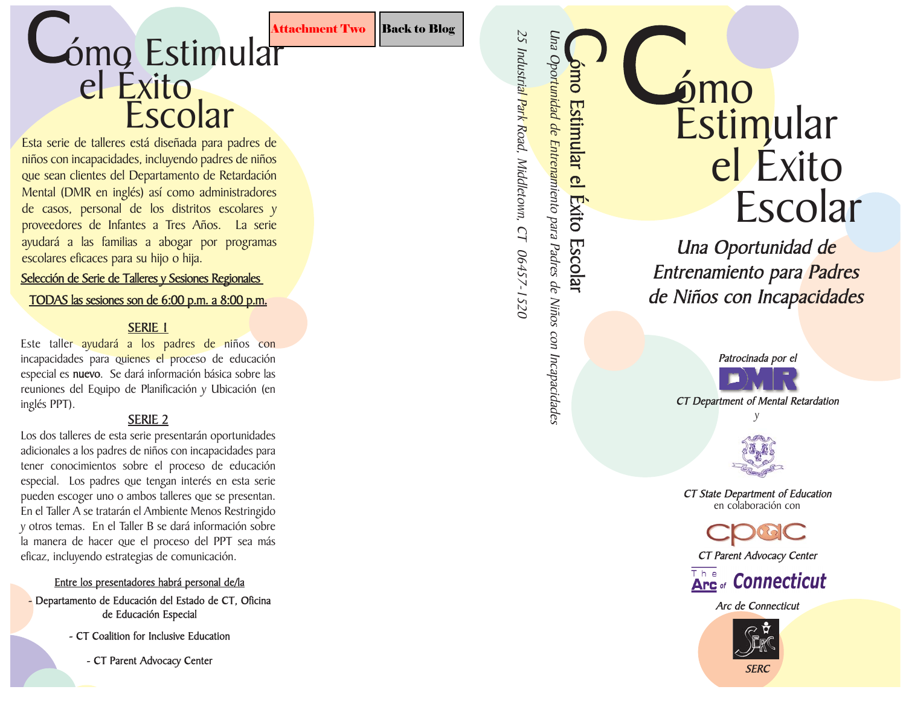### <span id="page-6-0"></span>Cómo Estimular Attachment Two Back to Blog S el Éxito Escolar

Esta serie de talleres está diseñada para padres de niños con incapacidades, incluyendo padres de niños que sean clientes del Departamento de Retardación Mental (DMR en inglés) así como administradores de casos, personal de los distritos escolares y proveedores de Infantes a Tres Años. La serie ayudará a las familias a abogar por programas escolares eficaces para su hijo o hija.

### Selección de Serie de Talleres y Sesiones Regionales

### TODAS las s esiones son de 6:00 p.m. a 8:00 p.m.

### SERIE 1

Este taller ayudará a los padres de niños con incapacidades para quienes el proceso de educación especial es nuevo. Se dará información básica sobre las reuniones del Equipo de Planificación y Ubicación (en inglés PPT).

### SERIE 2

Los dos talleres de esta serie presentarán oportunidades adicionales a los padres de niños con incapacidades para tener conocimientos sobre el proceso de educación especial. Los padres que tengan interés en esta serie pueden escoger uno o ambos talleres que se presentan. En el Taller A se tratarán el Ambiente Menos Restringido y otros temas. En el Taller B se dará información sobre la manera de hacer que el proceso del PPT sea más eficaz, incluyendo estrategias de comunicación.

### Entre los presentadores habrá personal de/la

- Departamento de Educación del Estado de C T, Oficina de Educación Especial
	- C T Coalition for Inclusive Education

- C T Parent Advocacy Center

25 Industrial Park Road, Middletown, CT 06457-1520

Una Oportunidad de Entrenamiento para Padres de Niños con Incapacidades **Exito Escolar** 

ómo Estimular el Éxito Escolar

ómo C el Éxito Escolar **Estimular** 

Una Oportunidad de Entrenamiento para <mark>Padres</mark> de Niños con Incapacidades

> Patrocinada por el CT Department of Mental Retardation y

CT State Department of Education en colaboración con

CT Parent Advocacy Center



Arc de Connecticut

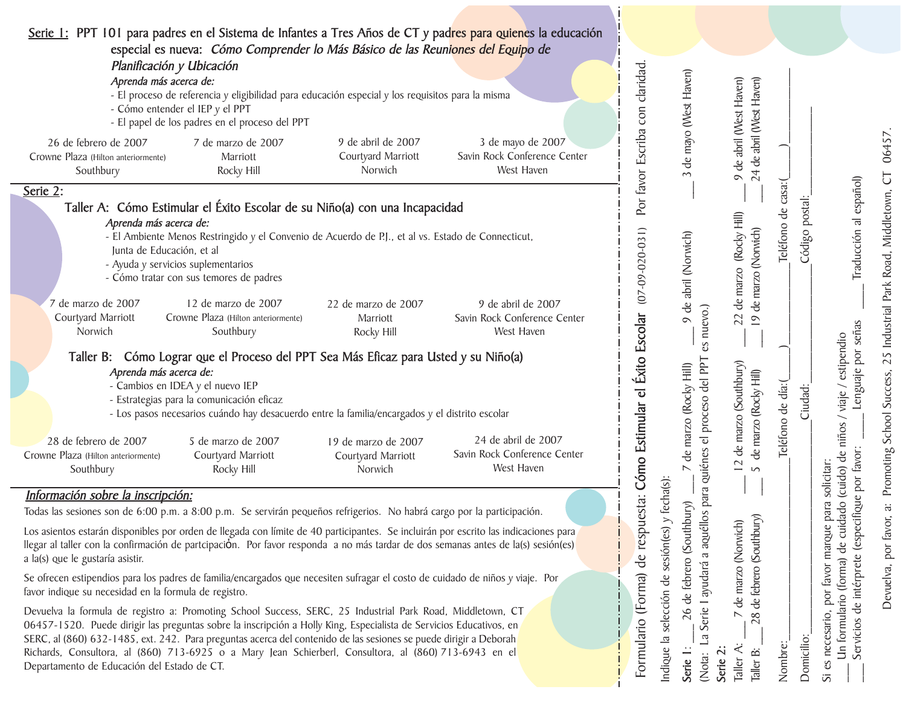| Serie 1: PPT 101 para padres en el Sistema de Infantes a Tres Años de CT y padres para quienes la educación<br>especial es nueva: Cómo Comprender lo Más Básico de las Reuniones del Equipo de                                                                                                                                                                                                                                                                                                                                                                          |                                                      |                                                                   |                                                                   |                                                                                     |                                                   |                       |                                                                                                                                    |
|-------------------------------------------------------------------------------------------------------------------------------------------------------------------------------------------------------------------------------------------------------------------------------------------------------------------------------------------------------------------------------------------------------------------------------------------------------------------------------------------------------------------------------------------------------------------------|------------------------------------------------------|-------------------------------------------------------------------|-------------------------------------------------------------------|-------------------------------------------------------------------------------------|---------------------------------------------------|-----------------------|------------------------------------------------------------------------------------------------------------------------------------|
| Planificación y Ubicación<br>Aprenda más acerca de:<br>- El proceso de referencia y eligibilidad para educación especial y los requisitos para la misma<br>- Cómo entender el IEP y el PPT<br>- El papel de los padres en el proceso del PPT                                                                                                                                                                                                                                                                                                                            |                                                      |                                                                   | con claridad.                                                     | de mayo (West Haven)                                                                | de abril (West Haven)<br>24 de abril (West Haven) |                       |                                                                                                                                    |
| 7 de marzo de 2007<br>26 de febrero de 2007<br>Crowne Plaza (Hilton anteriormente)<br>Marriott<br>Southbury<br>Rocky Hill                                                                                                                                                                                                                                                                                                                                                                                                                                               | 9 de abril de 2007<br>Courtyard Marriott<br>Norwich  | 3 de mayo de 2007<br>Savin Rock Conference Center<br>West Haven   | favor Escriba                                                     | $\sim$                                                                              | $\circ$                                           |                       | 06457                                                                                                                              |
| Serie 2:<br>Taller A: Cómo Estimular el Éxito Escolar de su Niño(a) con una Incapacidad<br>Aprenda más acerca de:<br>- El Ambiente Menos Restringido y el Convenio de Acuerdo de P.J., et al vs. Estado de Connecticut,<br>Junta de Educación, et al<br>- Ayuda y servicios suplementarios<br>- Cómo tratar con sus temores de padres                                                                                                                                                                                                                                   |                                                      |                                                                   | Por<br>$(07 - 09 - 020 - 031)$                                    | 9 de abril (Norwich)                                                                | (Rocky Hill)<br>19 de marzo (Norwich)<br>de marzo | casa:(<br>Teléfono de | a: Promoting School Success, 25 Industrial Park Road, Middletown, CT<br>Traducción al español)<br>Código postal:                   |
| 7 de marzo de 2007<br>12 de marzo de 2007<br>Courtyard Marriott<br>Crowne Plaza (Hilton anteriormente)<br>Norwich<br>Southbury                                                                                                                                                                                                                                                                                                                                                                                                                                          | 22 de marzo de 2007<br>Marriott<br>Rocky Hill        | 9 de abril de 2007<br>Savin Rock Conference Center<br>West Haven  |                                                                   | es nuevo.)                                                                          | 22                                                |                       |                                                                                                                                    |
| Taller B: Cómo Lograr que el Proceso del PPT Sea Más Eficaz para Usted y su Niño(a)<br>Aprenda más acerca de:<br>- Cambios en IDEA y el nuevo IEP<br>- Estrategias para la comunicación eficaz<br>- Los pasos necesarios cuándo hay desacuerdo entre la familia/encargados y el distrito escolar                                                                                                                                                                                                                                                                        |                                                      |                                                                   | Cómo Estimular el Éxito Escolar                                   | Serie I ayudará a aquéllos para quiénes el proceso del PPT<br>de marzo (Rocky Hill) | 12 de marzo (Southbury)<br>de marzo (Rocky Hill)  | Teléfono de día:      | Lenguaje por señas<br>(cuido) de niños / viaje / estipendio<br>Ciudad:                                                             |
| 28 de febrero de 2007<br>5 de marzo de 2007<br>Crowne Plaza (Hilton anteriormente)<br>Courtyard Marriott<br>Southbury<br>Rocky Hill                                                                                                                                                                                                                                                                                                                                                                                                                                     | 19 de marzo de 2007<br>Courtyard Marriott<br>Norwich | 24 de abril de 2007<br>Savin Rock Conference Center<br>West Haven |                                                                   | $\overline{\phantom{1}}$                                                            | $\sqrt{2}$                                        |                       | pecifique por favor:<br>solicitar:                                                                                                 |
| Información sobre la inscripción:<br>Todas las sesiones son de 6:00 p.m. a 8:00 p.m. Se servirán pequeños refrigerios. No habrá cargo por la participación.                                                                                                                                                                                                                                                                                                                                                                                                             |                                                      |                                                                   |                                                                   |                                                                                     |                                                   |                       |                                                                                                                                    |
| Los asientos estarán disponibles por orden de llegada con límite de 40 participantes. Se incluirán por escrito las indicaciones para<br>llegar al taller con la confirmación de partcipación. Por favor responda a no más tardar de dos semanas antes de la(s) sesión(es)<br>a la(s) que le gustaría asistir.<br>Se ofrecen estipendios para los padres de familia/encargados que necesiten sufragar el costo de cuidado de niños y viaje. Por                                                                                                                          |                                                      |                                                                   | sesión(es) y fecha(s):<br>respuesta:<br>ප්<br>de                  | de febrero (Southbury)                                                              | (Southbury)<br>de marzo (Norwich)<br>febrero      |                       | favor,<br>Devuelva, por                                                                                                            |
| favor indique su necesidad en la formula de registro.<br>Devuelva la formula de registro a: Promoting School Success, SERC, 25 Industrial Park Road, Middletown, CT<br>06457-1520. Puede dirigir las preguntas sobre la inscripción a Holly King, Especialista de Servicios Educativos, en<br>SERC, al (860) 632-1485, ext. 242. Para preguntas acerca del contenido de las sesiones se puede dirigir a Deborah<br>Richards, Consultora, al (860) 713-6925 o a Mary Jean Schierberl, Consultora, al (860) 713-6943 en el<br>Departamento de Educación del Estado de CT. |                                                      |                                                                   | Formulario (Forma)<br>selección<br>$\overline{\omega}$<br>Indique | 26<br>$\overline{a}$<br>Serie 2:<br>Serie 1:<br>(Nota:                              | e<br>28<br>Taller A:<br>Taller B:                 | Nombre:               | necesario, por favor marque para<br>Un formulario (forma) de cuidado<br>Servicios de intérprete (es<br>Domicilio:<br>$\infty$<br>5 |

 $\sim$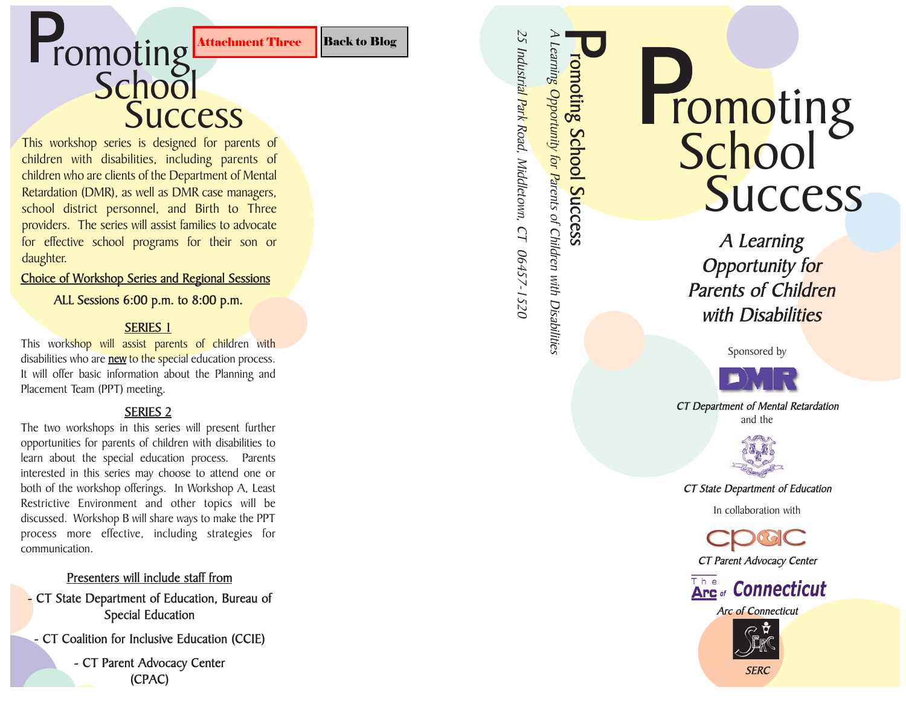### <span id="page-8-0"></span>**Promoting** Attachment Three Back to Blog Second Contract Contract Contract Contract Contract Contract Contract Contract Contract Contract Contract Contract Contract Contract Contract Contract Contract Contract Contract Co P<sub>r</sub>

# **Success**

This workshop series is designed for parents of children with disabilities, including parents of children who are clients of the Department of Mental Retardation (DMR), as well as DMR case managers, school district personnel, and Birth to Three providers. The series will assist families to advocate for effective school programs for their son or daughter.

### Choice of Worksho p Series and Re gional Sessions

### ALL Sessions 6:00 p.m. to 8:00 p.m.

### SERIES 1

This workshop will assist parents of children with disabilities who are <u>**new** to the special e</u>ducation process. It will offer basic information about the Planning and Placement Team (PPT) meeting.

### SERIES 2

The two workshops in this series will present further opportunities for parents of children with disabilities to learn about the special education process. Parents interested in this series may choose to attend one or both of the workshop offerings. In Workshop A, Least Restrictive Environment and other topics will be discussed. Workshop B will share ways to make the PPT process more effective, including strategies for communication. **EXECT:**<br> **CONTREGITERENT CONTREGITERENT CONTREGITERENT CONTREGITERENT IS designed for parents of<br>
well as bOMR case managers,<br>
well as bOMR case managers,<br>
well assist families to advocate<br>
programs for their son or<br>
<b>SCC** 

### Presenters will include staff from

- CT State De partment of Education, Bureau of S pecial Education
- CT Coalition for Inclusive Education (CCIE)

- CT Parent A d vocacy Center

## romoting<br>School **Success P**<sub>r</sub>

romoting School Success

A Learnin<mark>g Opportunity for P</mark>arents of Children with Disabilities

25 Industrial Park Road, Middletown, CT 06457-1520

A Learning Opportunity for Parents of Children with Disabilities

Sponsored by



CT Department of Mental Retardation and the



CT State Department of Education

In collaboration with

CT Parent Advocacy Center



**Arc of Connecticut** 



**SERC**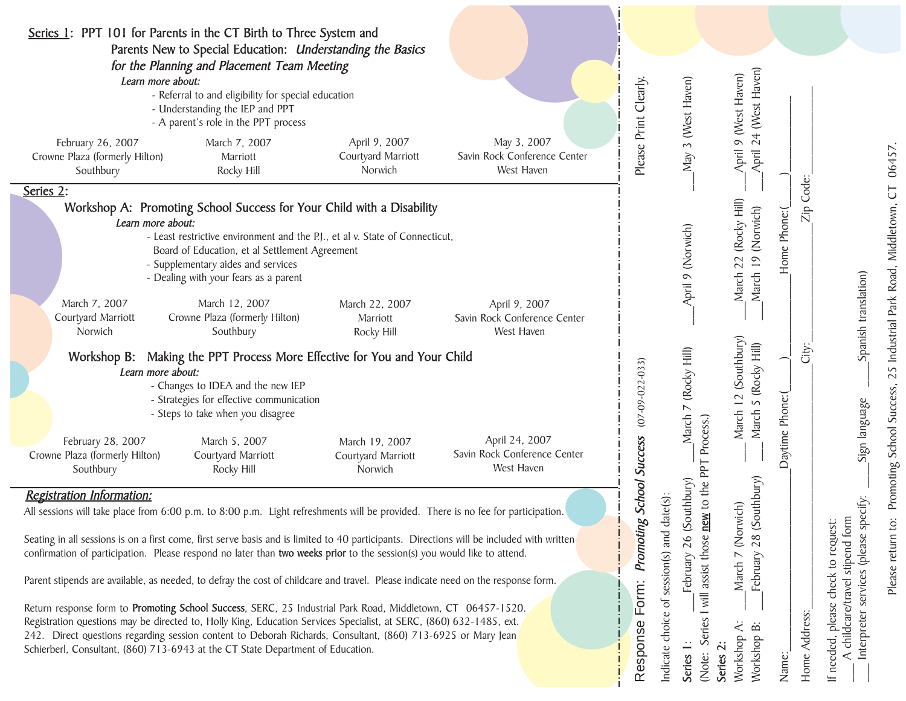| Series 1: PPT 101 for Parents in the CT Birth to Three System and                                                                                                                                                                                                                                                                                                                                                                                                                                                                                                                                                                                                                                                                                                                                                                                                                                                                                                                                                         | Parents New to Special Education: Understanding the Basics                                                                                                                                                                                                                                               |                                                |                                                              |                                       |                                                                                                                                                                                                         |                                                                                                                    |                             |                                                                                                                                                    |                                            |
|---------------------------------------------------------------------------------------------------------------------------------------------------------------------------------------------------------------------------------------------------------------------------------------------------------------------------------------------------------------------------------------------------------------------------------------------------------------------------------------------------------------------------------------------------------------------------------------------------------------------------------------------------------------------------------------------------------------------------------------------------------------------------------------------------------------------------------------------------------------------------------------------------------------------------------------------------------------------------------------------------------------------------|----------------------------------------------------------------------------------------------------------------------------------------------------------------------------------------------------------------------------------------------------------------------------------------------------------|------------------------------------------------|--------------------------------------------------------------|---------------------------------------|---------------------------------------------------------------------------------------------------------------------------------------------------------------------------------------------------------|--------------------------------------------------------------------------------------------------------------------|-----------------------------|----------------------------------------------------------------------------------------------------------------------------------------------------|--------------------------------------------|
| Learn more about:                                                                                                                                                                                                                                                                                                                                                                                                                                                                                                                                                                                                                                                                                                                                                                                                                                                                                                                                                                                                         | for the Planning and Placement Team Meeting<br>- Referral to and eligibility for special education<br>- Understanding the IEP and PPT<br>- A parent's role in the PPT process                                                                                                                            |                                                |                                                              | Please Print Clearly.                 | May 3 (West Haven)                                                                                                                                                                                      | 24 (West Haven)<br>April 9 (West Haven)                                                                            |                             |                                                                                                                                                    |                                            |
| February 26, 2007<br>Crowne Plaza (formerly Hilton)<br>Southbury                                                                                                                                                                                                                                                                                                                                                                                                                                                                                                                                                                                                                                                                                                                                                                                                                                                                                                                                                          | March 7, 2007<br>Marriott<br>Rocky Hill                                                                                                                                                                                                                                                                  | April 9, 2007<br>Courtyard Marriott<br>Norwich | May 3, 2007<br>Savin Rock Conference Center<br>West Haven    |                                       |                                                                                                                                                                                                         | April.                                                                                                             |                             |                                                                                                                                                    | 06457                                      |
| Series 2:<br>Learn more about:<br>March 7, 2007                                                                                                                                                                                                                                                                                                                                                                                                                                                                                                                                                                                                                                                                                                                                                                                                                                                                                                                                                                           | Workshop A: Promoting School Success for Your Child with a Disability<br>- Least restrictive environment and the P.J., et al v. State of Connecticut,<br>Board of Education, et al Settlement Agreement<br>- Supplementary aides and services<br>- Dealing with your fears as a parent<br>March 12, 2007 | March 22, 2007                                 | April 9, 2007                                                |                                       | April 9 (Norwich)                                                                                                                                                                                       | March 22 (Rocky Hill)<br>March 19 (Norwich)                                                                        | Code:<br>Zip<br>Home Phone: |                                                                                                                                                    | $\overline{C}$<br>Park Road, Middletown,   |
| Courtyard Marriott<br>Norwich<br>Learn more about:                                                                                                                                                                                                                                                                                                                                                                                                                                                                                                                                                                                                                                                                                                                                                                                                                                                                                                                                                                        | Crowne Plaza (formerly Hilton)<br>Southbury<br>Workshop B: Making the PPT Process More Effective for You and Your Child<br>- Changes to IDEA and the new IEP<br>- Strategies for effective communication<br>- Steps to take when you disagree<br>March 5, 2007                                           | Marriott<br>Rocky Hill<br>March 19, 2007       | Savin Rock Conference Center<br>West Haven<br>April 24, 2007 | $(07 - 09 - 022 - 033)$               | (Rocky Hill)<br>March 7<br>Process.)                                                                                                                                                                    | March 12 (Southbury)<br>5 (Rocky Hill)<br>March                                                                    | City:<br>Daytime Phone:     | Spanish translation)<br>Sign language                                                                                                              | 25 Industrial<br>Promoting School Success, |
| February 28, 2007<br>Crowne Plaza (formerly Hilton)<br>Southbury                                                                                                                                                                                                                                                                                                                                                                                                                                                                                                                                                                                                                                                                                                                                                                                                                                                                                                                                                          | Courtyard Marriott<br>Rocky Hill                                                                                                                                                                                                                                                                         | Courtyard Marriott<br>Norwich                  | Savin Rock Conference Center<br>West Haven                   | <b>School Success</b>                 |                                                                                                                                                                                                         |                                                                                                                    |                             |                                                                                                                                                    |                                            |
| <b>Registration Information:</b><br>All sessions will take place from 6:00 p.m. to 8:00 p.m. Light refreshments will be provided. There is no fee for participation.<br>Seating in all sessions is on a first come, first serve basis and is limited to 40 participants. Directions will be included with written<br>confirmation of participation. Please respond no later than two weeks prior to the session(s) you would like to attend.<br>Parent stipends are available, as needed, to defray the cost of childcare and travel. Please indicate need on the response form.<br>Return response form to Promoting School Success, SERC, 25 Industrial Park Road, Middletown, CT 06457-1520.<br>Registration questions may be directed to, Holly King, Education Services Specialist, at SERC, (860) 632-1485, ext.<br>242. Direct questions regarding session content to Deborah Richards, Consultant, (860) 713-6925 or Mary Jean<br>Schierberl, Consultant, (860) 713-6943 at the CT State Department of Education. |                                                                                                                                                                                                                                                                                                          |                                                |                                                              | <b>Promoting</b><br>Form:<br>Response | assist those <b>new</b> to the PPT<br>(Southbury)<br>indicate choice of session(s) and date(s):<br>26<br>February<br>$\overline{\phantom{a}}$<br><br>Will<br>Series<br>Series 1:<br>Series 2:<br>(Note: | (Southbury)<br>$\widehat{E}$<br>(Norvi<br>28<br>February<br>March 7<br>Ë<br>$\dot{\Xi}$<br>Workshop 1<br>Workshop. | Home Address:<br>Name:      | specify:<br>check to request:<br>childcare/travel stipend form<br>(please :<br>services<br>please<br>Interpreter<br>needed,<br>$\prec$<br>$\equiv$ | .c<br>return<br>Please                     |

Please return to: Promoting School Success, 25 Industrial Park Road, Middletown, CT 06457.  $\overline{\mathbf{c}}$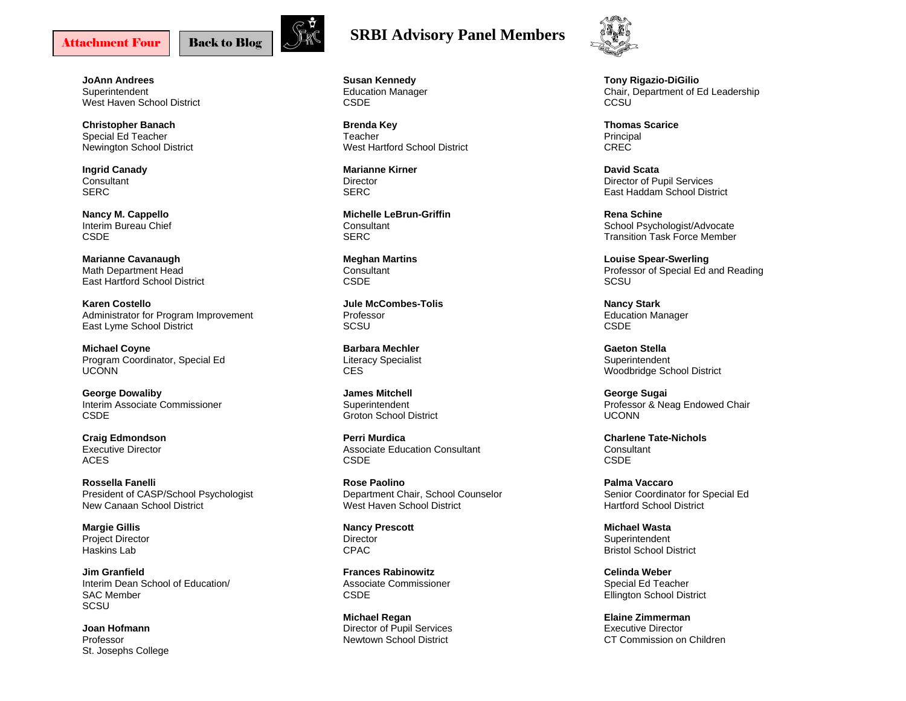[Back to Blog](#page-2-0) 

**JoAnn Andrees Superintendent** West Haven School District

**Christopher Banach**  Special Ed Teacher Newington School District

**Ingrid Canady Consultant** SERC

**Nancy M. Cappello**  Interim Bureau Chief **CSDE** 

**Marianne Cavanaugh**  Math Department Head East Hartford School District

**Karen Costello**  Administrator for Program Improvement East Lyme School District

**Michael Coyne**  Program Coordinator, Special Ed UCONN

**George Dowaliby**  Interim Associate Commissioner CSDE

**Craig Edmondson**  Executive Director ACES

**Rossella Fanelli** President of CASP/School Psychologist New Canaan School District

**Margie Gillis**  Project Director Haskins Lab

**Jim Granfield** Interim Dean School of Education/ SAC Member SCSU

**Joan Hofmann** Professor St. Josephs College

<span id="page-10-0"></span>

**Susan Kennedy**  Education Manager CSDE

**Brenda Key**  Teacher West Hartford School District

**Marianne Kirner Director SFRC** 

**Michelle LeBrun-Griffin Consultant** SERC

**Meghan Martins Consultant** CSDE

**Jule McCombes-Tolis** Professor **SCSU** 

**Barbara Mechler** Literacy Specialist CES

**James Mitchell Superintendent** Groton School District

**Perri Murdica** Associate Education Consultant CSDE

**Rose Paolino** Department Chair, School Counselor West Haven School District

**Nancy Prescott Director** CPAC

**Frances Rabinowitz** Associate Commissioner CSDE

**Michael Regan**  Director of Pupil Services Newtown School District



**Tony Rigazio-DiGilio**  Chair, Department of Ed Leadership **CCSU** 

**Thomas Scarice** Principal CREC

**David Scata** Director of Pupil Services East Haddam School District

**Rena Schine** School Psychologist/Advocate Transition Task Force Member

**Louise Spear-Swerling**  Professor of Special Ed and Reading SCSU

**Nancy Stark**  Education Manager **CSDE** 

**Gaeton Stella Superintendent** Woodbridge School District

**George Sugai**  Professor & Neag Endowed Chair UCONN

**Charlene Tate-Nichols Consultant CSDE** 

**Palma Vaccaro** Senior Coordinator for Special Ed Hartford School District

**Michael Wasta** Superintendent Bristol School District

**Celinda Weber** Special Ed Teacher Ellington School District

**Elaine Zimmerman** Executive Director CT Commission on Children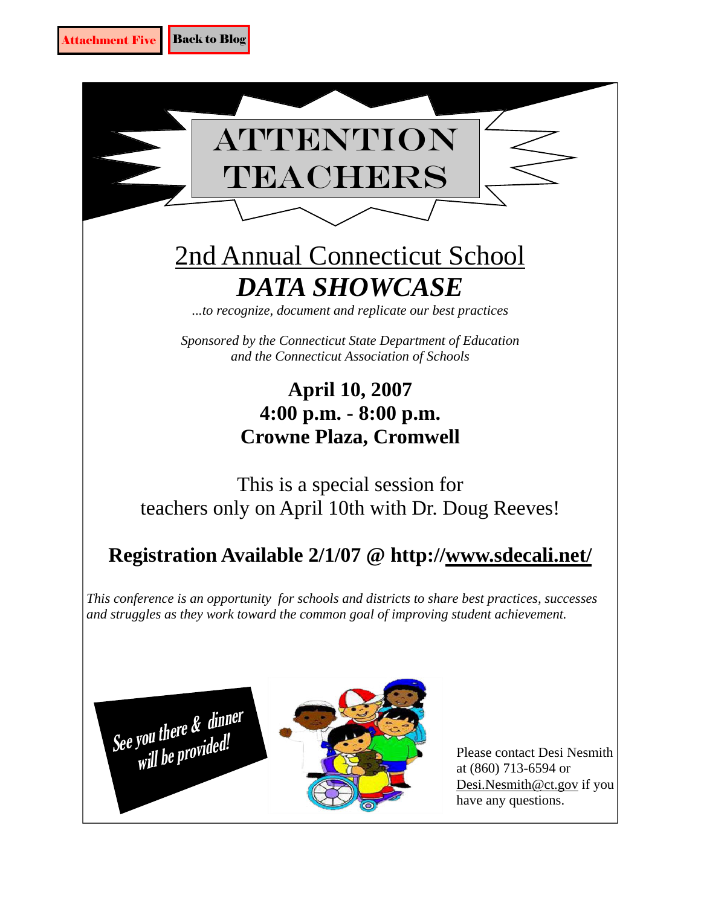<span id="page-11-0"></span>





Please contact Desi Nesmith at (860) 713-6594 or Desi.[Nesmith@ct.gov if](mailto:Nesmith@ct.gov) you have any questions.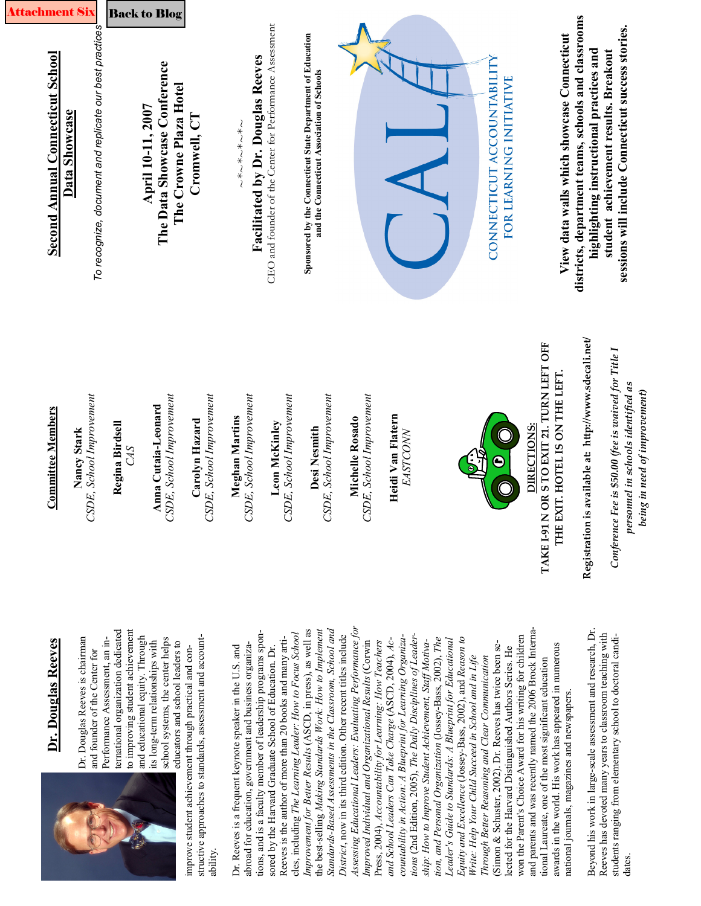<span id="page-12-0"></span>

| ehment<br><b>Second Annual Connecticut School</b><br><b>Committee Members</b> | To recognize, document and replicate our best practices<br>Data Showcase<br>CSDE, School Improvement<br>Nancy Stark | Regina Birdsell<br>CAS                                                                                   | <b>Back to Blog</b><br>The Data Showcase Conference<br>The Crowne Plaza Hotel<br>April 10-11, 2007<br>SDE, School Improvement<br>Anna Cutaia-Leonard | Cromwell, CT<br>SDE, School Improvement<br>Carolyn Hazard                                                                        | Facilitated by Dr. Douglas Reeves<br>~*~*~*~*~<br>SDE, School Improvement<br>Meghan Martins                                                                                        | CEO and founder of the Center for Performance Assessment<br>SDE, School Improvement<br>Leon McKinley                                                                            | Sponsored by the Connecticut State Department of Education<br>and the Connecticut Association of Schools<br>SDE, School Improvement<br>Desi Nesmith                                 | SDE, School Improvement<br>Michelle Rosado                                                                                                                                             | Heidi Van Flatern<br><b>EASTCONN</b>                                                                                                                                          |                                                                                                                                                                                    |                                                                                                                                                                              | CONNECTICUT ACCOUNTABILITY<br>FOR LEARNING INITIATIVE<br>$\boldsymbol{\Theta}$                                                                                         | View data walls which showcase Connecticut<br>OR STO EXIT 21. TURN LEFT OFF<br>THE EXIT. HOTEL IS ON THE LEFT<br>DIRECTIONS:<br>TAKE I-91 N                                                                                                                                                  | districts, department teams, schools and classrooms<br>highlighting instructional practices and<br>Registration is available at: http://www.sdecali.net/ | sessions will include Connecticut success stories.<br>student achievement results. Breakout<br>Conference Fee is \$50.00 (fee is waived for Title I<br>personnel in schools identified as<br>being in need of improvement) |
|-------------------------------------------------------------------------------|---------------------------------------------------------------------------------------------------------------------|----------------------------------------------------------------------------------------------------------|------------------------------------------------------------------------------------------------------------------------------------------------------|----------------------------------------------------------------------------------------------------------------------------------|------------------------------------------------------------------------------------------------------------------------------------------------------------------------------------|---------------------------------------------------------------------------------------------------------------------------------------------------------------------------------|-------------------------------------------------------------------------------------------------------------------------------------------------------------------------------------|----------------------------------------------------------------------------------------------------------------------------------------------------------------------------------------|-------------------------------------------------------------------------------------------------------------------------------------------------------------------------------|------------------------------------------------------------------------------------------------------------------------------------------------------------------------------------|------------------------------------------------------------------------------------------------------------------------------------------------------------------------------|------------------------------------------------------------------------------------------------------------------------------------------------------------------------|----------------------------------------------------------------------------------------------------------------------------------------------------------------------------------------------------------------------------------------------------------------------------------------------|----------------------------------------------------------------------------------------------------------------------------------------------------------|----------------------------------------------------------------------------------------------------------------------------------------------------------------------------------------------------------------------------|
| Dr. Douglas Reeves                                                            | Dr. Douglas Reeves is chairman<br>and founder of the Center for                                                     | to improving student achievement<br>ternational organization dedicated<br>Performance Assessment, an in- | and educational equity. Through<br>school systems, the center helps<br>its long-term relationships with<br>educators and school leaders to           | structive approaches to standards, assessment and account-<br>improve student achievement through practical and con-<br>ability. | tions, and is a faculty member of leadership programs spon-<br>abroad for education, government and business organiza-<br>Dr. Reeves is a frequent keynote speaker in the U.S. and | cles, including The Learning Leader: How to Focus School<br>Reeves is the author of more than 20 books and many arti-<br>sored by the Harvard Graduate School of Education. Dr. | Improvement for Better Results (ASCD, in press), as well as<br>the best-selling Making Standards Work: How to Implement<br>Standards-Based Assessments in the Classroom, School and | Assessing Educational Leaders: Evaluating Performance for<br>District, now in its third edition. Other recent titles include<br>Improved Individual and Organizational Results (Corwin | countability in Action: A Blueprint for Learning Organiza-<br>and School Leaders Can Take Charge (ASCD, 2004), Ac-<br>Press, 2004), Accountability for Learning: How Teachers | tions (2nd Edition, 2005), The Daily Disciplines of Leader-<br>tion, and Personal Organization (Jossey-Bass, 2002), The<br>ship: How to Improve Student Achievement, Staff Motiva- | Equity and Excellence (Jossey-Bass, 2002), and Reason to<br>Leader's Guide to Standards: A Blueprint for Educational<br>Write: Help Your Child Succeed in School and in Life | (Simon & Schuster, 2002). Dr. Reeves has twice been se-<br>lected for the Harvard Distinguished Authors Series. He<br>Through Better Reasoning and Clear Communication | and parents and was recently named the 2006 Brock Interna-<br>won the Parent's Choice Award for his writing for children<br>awards in the world. His work has appeared in numerous<br>tional Laureate, one of the most significant education<br>national journals, magazines and newspapers. | Beyond his work in large-scale assessment and research, Dr.                                                                                              | Reeves has devoted many years to classroom teaching with<br>students ranging from elementary school to doctoral candi-<br>dates.                                                                                           |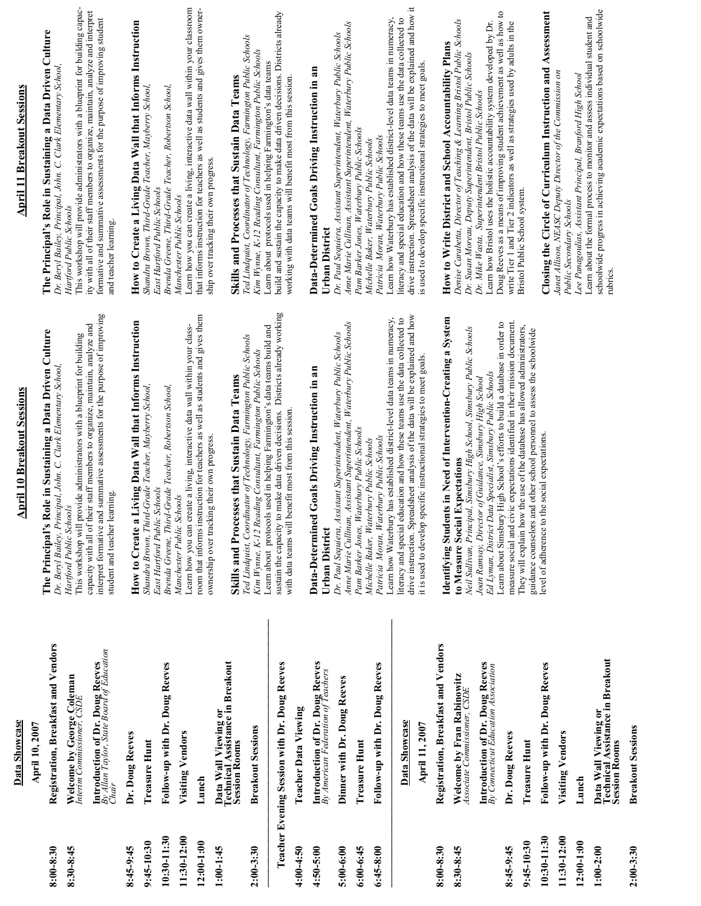|                 | Data Showcase                                                                                | <b>April 10 Breakout Sessions</b>                                                                                                                                                                                                          | <b>April 11 Breakout Sessions</b>                                                                                                                                                                                                       |
|-----------------|----------------------------------------------------------------------------------------------|--------------------------------------------------------------------------------------------------------------------------------------------------------------------------------------------------------------------------------------------|-----------------------------------------------------------------------------------------------------------------------------------------------------------------------------------------------------------------------------------------|
|                 | April 10, 2007                                                                               |                                                                                                                                                                                                                                            |                                                                                                                                                                                                                                         |
| $8:00-8:30$     | Registration, Breakfast and Vendors                                                          | The Principal's Role in Sustaining a Data Driven Culture<br>Dr. Beryl Bailey, Principal, John. C. Clark Elementary School,                                                                                                                 | The Principal's Role in Sustaining a Data Driven Culture<br>Dr. Beryl Bailey, Principal, John. C. Clark Elementary School,                                                                                                              |
| 8:30-8:45       | Welcome by George Coleman<br>Interim Commissioner, CSDE                                      | This workshop will provide administrators with a blueprint for building<br>Hartford Public Schools                                                                                                                                         | This workshop will provide administrators with a blueprint for building capac-<br>Hartford Public Schools                                                                                                                               |
|                 | <b>Introduction of Dr. Doug Reeves</b><br>By Allan Taylor, State Board of Education<br>Chair | interpret formative and summative assessments for the purpose of improving<br>capacity with all of their staff members to organize, maintain, analyze and<br>student and teacher learning                                                  | ity with all of their staff members to organize, maintain, analyze and interpret<br>formative and summative assessments for the purpose of improving student<br>and teacher learning                                                    |
| 8:45-9:45       | Dr. Doug Reeves                                                                              | How to Create a Living Data Wall that Informs Instruction                                                                                                                                                                                  | How to Create a Living Data Wall that Informs Instruction                                                                                                                                                                               |
| 9:45-10:30      | <b>Treasure Hunt</b>                                                                         | Shandra Brown, Third-Grade Teacher, Mayberry School,                                                                                                                                                                                       | Shandra Brown, Third-Grade Teacher, Mayberry School,                                                                                                                                                                                    |
| $10:30 - 11:30$ | Follow-up with Dr. Doug Reeves                                                               | Brenda Greene, Third-Grade Teacher, Robertson School,<br>East Hartford Public Schools                                                                                                                                                      | Brenda Greene, Third-Grade Teacher, Robertson School,<br>East Hartford Public Schools                                                                                                                                                   |
| 11:30-12:00     | Visiting Vendors                                                                             | Learn how you can create a living, interactive data wall within your class-<br>Manchester Public Schools                                                                                                                                   | Learn how you can create a living, interactive data wall within your classroom<br>Manchester Public Schools                                                                                                                             |
| $12:00-1:00$    | Lunch                                                                                        | room that informs instruction for teachers as well as students and gives them                                                                                                                                                              | that informs instruction for teachers as well as students and gives them owner-                                                                                                                                                         |
| $1:00-1:45$     | Data Wall Viewing or<br>Technical Assistance in Breakout<br>Session Rooms                    | Skills and Processes that Sustain Data Teams<br>ownership over tracking their own progress.                                                                                                                                                | Skills and Processes that Sustain Data Teams<br>ship over tracking their own progress.                                                                                                                                                  |
| $2:00 - 3:30$   | <b>Breakout Sessions</b>                                                                     | Learn about protocols used in helping Farmington's data teams build and<br>Ted Lindquist, Coordinator of Technology, Farmington Public Schools<br>Kim Wynne, K-12 Reading Consultant, Farmington Public Schools                            | Ted Lindquist, Coordinator of Technology, Farmington Public Schools<br>Kim Wynne, K-12 Reading Consultant, Farmington Public Schools<br>Learn about protocols used in helping Farmington's data teams                                   |
|                 | Teacher Evening Session with Dr. Doug Reeves                                                 | sustain the capacity to make data driven decisions. Districts already working                                                                                                                                                              | build and sustain the capacity to make data driven decisions. Districts already<br>working with data teams will benefit most from this session.                                                                                         |
| 4:00-4:50       | <b>Teacher Data Viewing</b>                                                                  | benefit most from this session.<br>with data teams will                                                                                                                                                                                    |                                                                                                                                                                                                                                         |
| 4:50-5:00       | <b>Introduction of Dr. Doug Reeves</b><br>By American Federation of Teachers                 | Data-Determined Goals Driving Instruction in an<br>Urban District                                                                                                                                                                          | Data-Determined Goals Driving Instruction in an<br>Urban District                                                                                                                                                                       |
| $5:00-6:00$     | Dinner with Dr. Doug Reeves                                                                  | Anne Marie Cullinan, Assistant Superintendent, Waterbury Public Schools<br>Dr. Paul Sequiera, Assistant Superintendent, Waterbury Public Schools                                                                                           | Anne Marie Cullinan, Assistant Superintendent, Waterbury Public Schools<br>Dr. Paul Sequiera, Assistant Superintendent, Waterbury Public Schools                                                                                        |
| $6:00-6:45$     | Treasure Hunt                                                                                | Pam Barker Jones, Waterbury Public Schools                                                                                                                                                                                                 | Pam Barker Jones, Waterbury Public Schools                                                                                                                                                                                              |
| $6:45-8:00$     | Follow-up with Dr. Doug Reeves                                                               | Learn how Waterbury has established district-level data teams in numeracy,<br>Patricia Moran, Waterbury Public Schools<br>Michelle Baker, Waterbury Public Schools                                                                         | Learn how Waterbury has established district-level data teams in numeracy,<br>Patricia Moran, Waterbury Public Schools<br>Michelle Baker, Waterbury Public Schools                                                                      |
|                 | Data Showcase<br>April 11, 2007                                                              | drive instruction. Spreadsheet analysis of the data will be explained and how<br>literacy and special education and how these teams use the data collected to<br>specific instructional strategies to meet goals.<br>it is used to develop | drive instruction. Spreadsheet analysis of the data will be explained and how it<br>literacy and special education and how these teams use the data collected to<br>is used to develop specific instructional strategies to meet goals. |
| 8:00-8:30       | Registration, Breakfast and Vendors                                                          |                                                                                                                                                                                                                                            |                                                                                                                                                                                                                                         |
| 8:30-8:45       | Welcome by Fran Rabinowitz<br>Associate Commissioner, CSDE                                   | Identifying Students in Need of Intervention-Creating a System<br>to Measure Social Expectations                                                                                                                                           | Denise Carabetta, Director of Teaching & Learning Bristol Public Schools<br>How to Write District and School Accountability Plans                                                                                                       |
|                 | <b>Introduction of Dr. Doug Reeves</b><br>By Connecticut Education Association               | Neil Sullivan, Principal, Simsbury High School, Simsbury Public Schools<br>Ed Lyman, District Data Specialist, Simsbury Public Schools<br>Joan Ramsay, Director of Guidance, Simsbury High School                                          | Learn how Bristol uses the holistic accountability system developed by Dr.<br>Dr. Susan Moreau, Deputy Superintendent, Bristol Public Schools<br>Dr. Mike Wasta, Superintendent Bristol Public Schools                                  |
| 8:45-9:45       | Dr. Doug Reeves                                                                              | measure social and civic expectations identified in their mission document.<br>Learn about Simsbury High School's efforts to build a database in order to                                                                                  | Doug Reeves as a means of improving student achievement as well as how to<br>write Tier 1 and Tier 2 indicators as well as strategies used by adults in the                                                                             |
| 9:45-10:30      | <b>Treasure Hunt</b>                                                                         | They will explain how the use of the database has allowed administrators,<br>and other school personnel to assess the schoolwide<br>guidance counselors                                                                                    | Bristol Public School system.                                                                                                                                                                                                           |
| 10:30-11:30     | Follow-up with Dr. Doug Reeves                                                               | the social expectations.<br>level of adherence to                                                                                                                                                                                          | Closing the Circle of Curriculum Instruction and Assessment                                                                                                                                                                             |
| 11:30-12:00     | Visiting Vendors                                                                             |                                                                                                                                                                                                                                            | Janet Allison, NEASC Deputy Director of the Commission on<br>Public Secondary Schools                                                                                                                                                   |
| $12:00-1:00$    | Lunch                                                                                        |                                                                                                                                                                                                                                            | Lee Panagoulias, Assistant Principal, Branford High School                                                                                                                                                                              |
| $1:00-2:00$     | Data Wall Viewing or<br>Technical Assistance in Breakout<br><b>Session Rooms</b>             |                                                                                                                                                                                                                                            | Learn about the formal process to monitor and assess individual student and schoolwide progress in achieving academic expectations based on schoolwide<br>rubrics.                                                                      |
| $2:00 - 3:30$   | <b>Breakout Sessions</b>                                                                     |                                                                                                                                                                                                                                            |                                                                                                                                                                                                                                         |
|                 |                                                                                              |                                                                                                                                                                                                                                            |                                                                                                                                                                                                                                         |

Data Showcase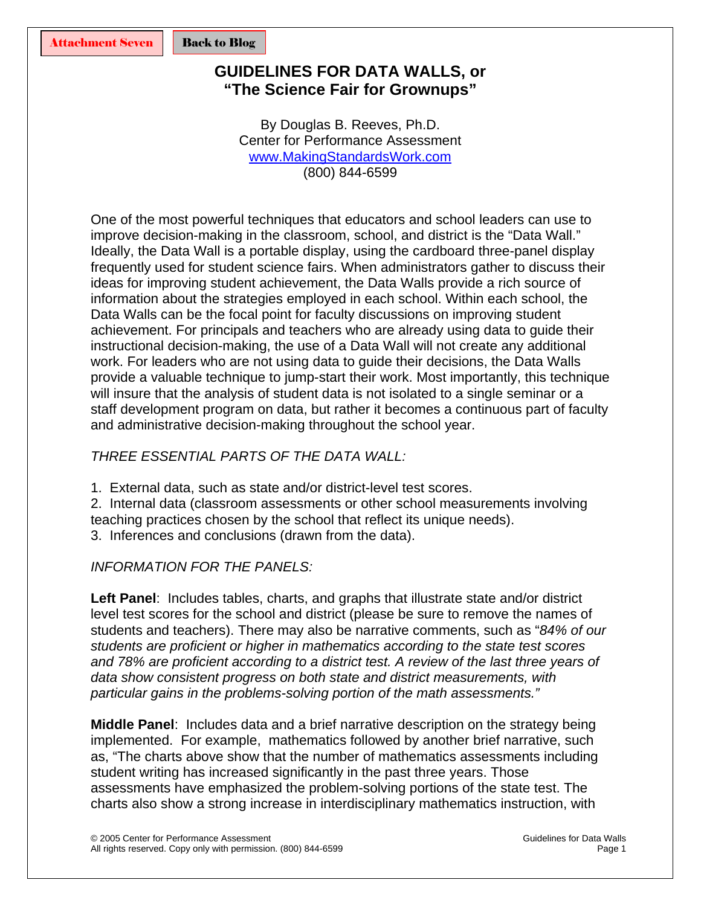### <span id="page-14-0"></span>**GUIDELINES FOR DATA WALLS, or "The Science Fair for Grownups"**

By Douglas B. Reeves, Ph.D. Center for Performance Assessment [www.MakingStandardsWork.com](http://www.makingstandardswork.com/) (800) 844-6599

One of the most powerful techniques that educators and school leaders can use to improve decision-making in the classroom, school, and district is the "Data Wall." Ideally, the Data Wall is a portable display, using the cardboard three-panel display frequently used for student science fairs. When administrators gather to discuss their ideas for improving student achievement, the Data Walls provide a rich source of information about the strategies employed in each school. Within each school, the Data Walls can be the focal point for faculty discussions on improving student achievement. For principals and teachers who are already using data to guide their instructional decision-making, the use of a Data Wall will not create any additional work. For leaders who are not using data to guide their decisions, the Data Walls provide a valuable technique to jump-start their work. Most importantly, this technique will insure that the analysis of student data is not isolated to a single seminar or a staff development program on data, but rather it becomes a continuous part of faculty and administrative decision-making throughout the school year.

### *THREE ESSENTIAL PARTS OF THE DATA WALL:*

1. External data, such as state and/or district-level test scores.

2. Internal data (classroom assessments or other school measurements involving teaching practices chosen by the school that reflect its unique needs).

3. Inferences and conclusions (drawn from the data).

### *INFORMATION FOR THE PANELS:*

**Left Panel**: Includes tables, charts, and graphs that illustrate state and/or district level test scores for the school and district (please be sure to remove the names of students and teachers). There may also be narrative comments, such as "*84% of our students are proficient or higher in mathematics according to the state test scores and 78% are proficient according to a district test. A review of the last three years of data show consistent progress on both state and district measurements, with particular gains in the problems-solving portion of the math assessments."* 

**Middle Panel**: Includes data and a brief narrative description on the strategy being implemented. For example, mathematics followed by another brief narrative, such as, "The charts above show that the number of mathematics assessments including student writing has increased significantly in the past three years. Those assessments have emphasized the problem-solving portions of the state test. The charts also show a strong increase in interdisciplinary mathematics instruction, with